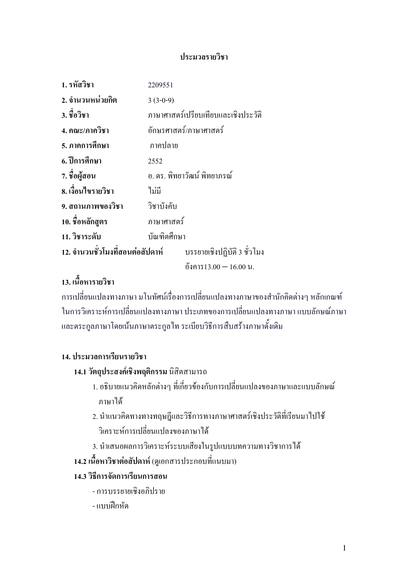### ประมวลรายวิชา

| 1. รหัสวิชา                                                  | 2209551                             |                        |
|--------------------------------------------------------------|-------------------------------------|------------------------|
| ่ 2. จำนวนหน่วยกิต                                           | $3(3-0-9)$                          |                        |
| 3. ชื่อวิชา                                                  | ภาษาศาสตร์เปรียบเทียบและเชิงประวัติ |                        |
| 4. คณะ/ภาควิชา                                               | อักษรศาสตร์/ภาษาศาสตร์              |                        |
| 5. ภาคการศึกษา                                               | ภาคปลาย                             |                        |
| 6. ปีการศึกษา                                                | 2552                                |                        |
| 7. ชื่อผู้สอน                                                | อ. คร. พิทยาวัฒน์ พิทยาภรณ์         |                        |
| 8. เงื้อนไขรายวิชา                                           | ใม่มี                               |                        |
| 9. สถานภาพของวิชา                                            | วิชาบังคับ                          |                        |
| 10. ชื่อหลักสูตร                                             | ภาษาศาสตร์                          |                        |
| 11. วิชาระดับ                                                | บัณฑิตศึกษา                         |                        |
| 12. จำนวนชั่วโมงที่สอนต่อสัปดาห์ บรรยายเชิงปฏิบัติ 3 ชั่วโมง |                                     |                        |
|                                                              |                                     | อังการ13.00 — 16.00 น. |

# ้ 13. เนื้อหารายวิชา

ิการเปลี่ยนแปลงทางภาษา มโนทัศน์เรื่องการเปลี่ยนแปลงทางภาษาของสำนักคิดต่างๆ หลักเกณฑ์ ่ ในการวิเคราะห์การเปลี่ยนแปลงทางภาษา ประเภทของการเปลี่ยนแปลงทางภาษา แบบลักษณ์ภาษา และตระกูลภาษาโดยเน้นภาษาตระกูล ไท ระเบียบวิธีการสืบสร้างภาษาดั้งเดิม

### 14. ประมวลการเรียนรายวิชา

### 14.1 วัตถุประสงค์เชิงพฤติกรรม นิสิตสามารถ

- 1. อธิบายแนวคิดหลักต่างๆ ที่เกี่ยวข้องกับการเปลี่ยนแปลงของภาษาและแบบลักษณ์ ภาษาได้
- 2. นำแนวคิดทางทางทฤษฎีและวิธีการทางภาษาศาสตร์เชิงประวัติที่เรียนมาไปใช้ วิเคราะห์การเปลี่ยนแปลงของภาษาได้
- 3. นำเสนอผลการวิเคราะห์ระบบเสียงในรูปแบบบทความทางวิชาการได้
- 14.2 เนื้อหาวิชาต่อสัปดาห์ (ดูเอกสารประกอบที่แนบมา)

### 14 3 วิธีการจัดการเรียนการสอน

- การบรรยายเชิงอภิปราย
- แบบฝึกหัด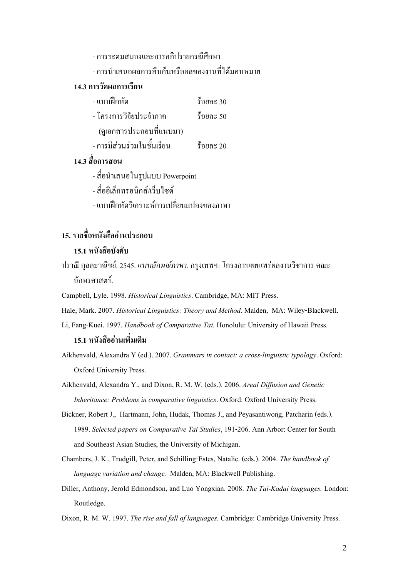- การระดมสมองและการอภิปรายกรณีศึกษา
- การนำเสนอผลการสืบค้นหรือผลของงานที่ได้มอบหมาย

### 14.3 การวัดผลการเรียน

- BC"8 & ;! 30  $\overline{a}$  - โครงการวิจัยประจำภาค ร้อยละ 50 (ดูเอกสารประกอบที่แนบมา) - การมีส่วนร่วมในชั้นเรียน ร้อยละ 20
- 14.3 สื่อการสอน
	- สื่อนำเสนอในรูปแบบ Powerpoint
	- สื่ออิเล็กทรอบิกส์/เว็บไซต์
	- แบบฝึกหัดวิเคราะห์การเปลี่ยนแปลงของภาษา

# 15. รายชื่อหนังสืออ่านประกอบ

### 15 1 หนังสือบังดับ

- ปราณี กุลละวณิชย์. 2545. *แบบลักษณ์ภาษา*. กรุงเทพฯ: โครงการเผยแพร่ผลงานวิชาการ คณะ ์<br>ดัก**ษ**รศาสตร์
- Campbell, Lyle. 1998. Historical Linguistics. Cambridge, MA: MIT Press.
- Hale, Mark. 2007. Historical Linguistics: Theory and Method. Malden, MA: Wiley-Blackwell.
- Li, Fang-Kuei. 1997. Handbook of Comparative Tai. Honolulu: University of Hawaii Press. 15.1 หนังสืออ่านเพิ่มเติม
- Aikhenvald, Alexandra Y (ed.). 2007. Grammars in contact: a cross-linguistic typology. Oxford: Oxford University Press.

Aikhenvald, Alexandra Y., and Dixon, R. M. W. (eds.). 2006. Areal Diffusion and Genetic Inheritance: Problems in comparative linguistics. Oxford: Oxford University Press.

- Bickner, Robert J., Hartmann, John, Hudak, Thomas J., and Peyasantiwong, Patcharin (eds.). 1989. Selected papers on Comparative Tai Studies, 191-206. Ann Arbor: Center for South and Southeast Asian Studies, the University of Michigan.
- Chambers, J. K., Trudgill, Peter, and Schilling-Estes, Natalie. (eds.). 2004. The handbook of language variation and change. Malden, MA: Blackwell Publishing.
- Diller, Anthony, Jerold Edmondson, and Luo Yongxian. 2008. The Tai-Kadai languages. London: Routledge.

Dixon, R. M. W. 1997. The rise and fall of languages. Cambridge: Cambridge University Press.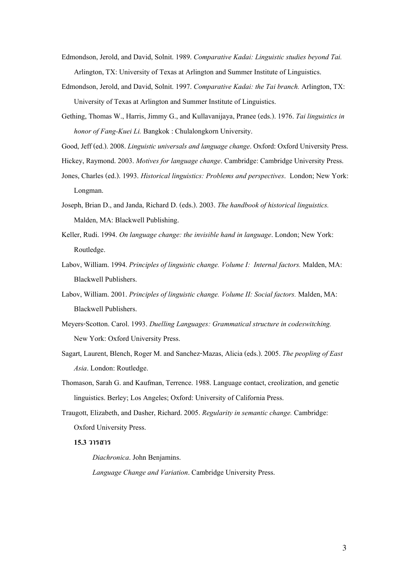- Edmondson, Jerold, and David, Solnit. 1989. Comparative Kadai: Linguistic studies beyond Tai. Arlington, TX: University of Texas at Arlington and Summer Institute of Linguistics.
- Edmondson, Jerold, and David, Solnit. 1997. Comparative Kadai: the Tai branch. Arlington, TX: University of Texas at Arlington and Summer Institute of Linguistics.
- Gething, Thomas W., Harris, Jimmy G., and Kullavanijaya, Pranee (eds.). 1976. Tai linguistics in honor of Fang-Kuei Li. Bangkok : Chulalongkorn University.
- Good, Jeff (ed.). 2008. Linguistic universals and language change. Oxford: Oxford University Press.
- Hickey, Raymond. 2003. Motives for language change. Cambridge: Cambridge University Press.
- Jones, Charles (ed.). 1993. Historical linguistics: Problems and perspectives. London; New York: Longman.
- Joseph, Brian D., and Janda, Richard D. (eds.). 2003. The handbook of historical linguistics. Malden, MA: Blackwell Publishing.
- Keller, Rudi. 1994. On language change: the invisible hand in language. London; New York: Routledge.
- Labov, William. 1994. Principles of linguistic change. Volume I: Internal factors. Malden, MA: Blackwell Publishers.
- Labov, William. 2001. Principles of linguistic change. Volume II: Social factors. Malden, MA: Blackwell Publishers.
- Meyers-Scotton. Carol. 1993. Duelling Languages: Grammatical structure in codeswitching. New York: Oxford University Press.
- Sagart, Laurent, Blench, Roger M. and Sanchez-Mazas, Alicia (eds.). 2005. The peopling of East Asia. London: Routledge.
- Thomason, Sarah G. and Kaufman, Terrence. 1988. Language contact, creolization, and genetic linguistics. Berley; Los Angeles; Oxford: University of California Press.
- Traugott, Elizabeth, and Dasher, Richard. 2005. Regularity in semantic change. Cambridge: Oxford University Press.

### $15.3$  วารสาร

Diachronica. John Benjamins.

Language Change and Variation. Cambridge University Press.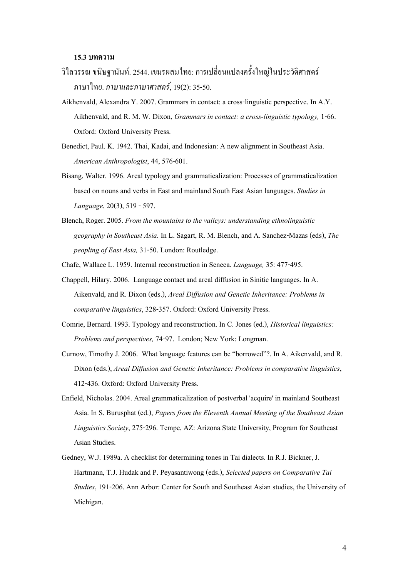#### 15.3 บทความ

- ้ วิไลวรรณ ขนิษฐานันท์. 2544. เขมรผสมไทย: การเปลี่ยนแปลงครั้งใหญ่ในประวัติศาสตร์ ภาษาไทย. *ภาษาและภาษาศาสตร์*, 19(2): 35-50.
- Aikhenvald, Alexandra Y. 2007. Grammars in contact: a cross-linguistic perspective. In A.Y. Aikhenvald, and R. M. W. Dixon, Grammars in contact: a cross-linguistic typology, 1-66. Oxford: Oxford University Press.
- Benedict, Paul. K. 1942. Thai, Kadai, and Indonesian: A new alignment in Southeast Asia. American Anthropologist, 44, 576-601.
- Bisang, Walter. 1996. Areal typology and grammaticalization: Processes of grammaticalization based on nouns and verbs in East and mainland South East Asian languages. Studies in Language, 20(3), 519 - 597.
- Blench, Roger. 2005. From the mountains to the valleys: understanding ethnolinguistic geography in Southeast Asia. In L. Sagart, R. M. Blench, and A. Sanchez-Mazas (eds), The peopling of East Asia, 31-50. London: Routledge.
- Chafe, Wallace L. 1959. Internal reconstruction in Seneca. Language, 35: 477-495.
- Chappell, Hilary. 2006. Language contact and areal diffusion in Sinitic languages. In A. Aikenvald, and R. Dixon (eds.), Areal Diffusion and Genetic Inheritance: Problems in comparative linguistics, 328-357. Oxford: Oxford University Press.
- Comrie, Bernard. 1993. Typology and reconstruction. In C. Jones (ed.), Historical linguistics: Problems and perspectives, 74-97. London; New York: Longman.
- Curnow, Timothy J. 2006. What language features can be "borrowed"?. In A. Aikenvald, and R. Dixon (eds.), Areal Diffusion and Genetic Inheritance: Problems in comparative linguistics, 412-436. Oxford: Oxford University Press.
- Enfield, Nicholas. 2004. Areal grammaticalization of postverbal 'acquire' in mainland Southeast Asia. In S. Burusphat (ed.), Papers from the Eleventh Annual Meeting of the Southeast Asian Linguistics Society, 275-296. Tempe, AZ: Arizona State University, Program for Southeast Asian Studies.
- Gedney, W.J. 1989a. A checklist for determining tones in Tai dialects. In R.J. Bickner, J. Hartmann, T.J. Hudak and P. Peyasantiwong (eds.), Selected papers on Comparative Tai Studies, 191-206. Ann Arbor: Center for South and Southeast Asian studies, the University of Michigan.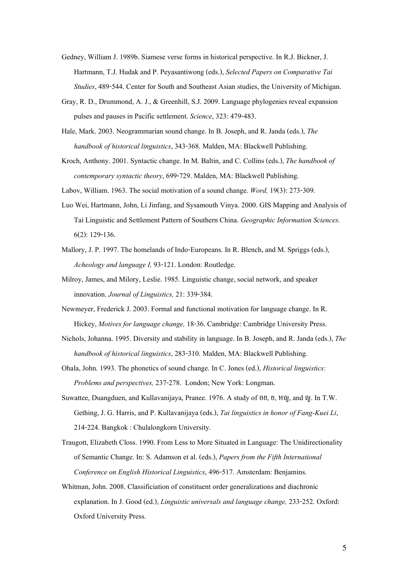- Gedney, William J. 1989b. Siamese verse forms in historical perspective. In R.J. Bickner, J. Hartmann, T.J. Hudak and P. Peyasantiwong (eds.), Selected Papers on Comparative Tai Studies, 489-544. Center for South and Southeast Asian studies, the University of Michigan.
- Gray, R. D., Drummond, A. J., & Greenhill, S.J. 2009. Language phylogenies reveal expansion pulses and pauses in Pacific settlement. Science, 323: 479-483.
- Hale, Mark. 2003. Neogrammarian sound change. In B. Joseph, and R. Janda (eds.), The handbook of historical linguistics, 343-368. Malden, MA: Blackwell Publishing.
- Kroch, Anthony. 2001. Syntactic change. In M. Baltin, and C. Collins (eds.), The handbook of contemporary syntactic theory, 699-729. Malden, MA: Blackwell Publishing.
- Labov, William. 1963. The social motivation of a sound change. Word, 19(3): 273-309.
- Luo Wei, Hartmann, John, Li Jinfang, and Sysamouth Vinya. 2000. GIS Mapping and Analysis of Tai Linguistic and Settlement Pattern of Southern China. Geographic Information Sciences. 6(2): 129-136.
- Mallory, J. P. 1997. The homelands of Indo-Europeans. In R. Blench, and M. Spriggs (eds.), Acheology and language I, 93-121. London: Routledge.
- Milroy, James, and Milory, Leslie. 1985. Linguistic change, social network, and speaker innovation. Journal of Linguistics, 21: 339-384.
- Newmeyer, Frederick J. 2003. Formal and functional motivation for language change. In R. Hickey, Motives for language change, 18-36. Cambridge: Cambridge University Press.
- Nichols, Johanna. 1995. Diversity and stability in language. In B. Joseph, and R. Janda (eds.), The handbook of historical linguistics, 283-310. Malden, MA: Blackwell Publishing.
- Ohala, John. 1993. The phonetics of sound change. In C. Jones (ed.), Historical linguistics: Problems and perspectives, 237-278. London; New York: Longman.
- Suwattee, Duangduen, and Kullavanijaya, Pranee. 1976. A study of  $\mathfrak{dd}, \mathfrak{gd}, \mathfrak{H},$  and  $\mathfrak{g}$ . In T.W. Gething, J. G. Harris, and P. Kullavanijaya (eds.), Tai linguistics in honor of Fang-Kuei Li, 214-224. Bangkok : Chulalongkorn University.
- Traugott, Elizabeth Closs. 1990. From Less to More Situated in Language: The Unidirectionality of Semantic Change. In: S. Adamson et al. (eds.), Papers from the Fifth International Conference on English Historical Linguistics, 496-517. Amsterdam: Benjamins.
- Whitman, John. 2008. Classificiation of constituent order generalizations and diachronic explanation. In J. Good (ed.), Linguistic universals and language change, 233-252. Oxford: Oxford University Press.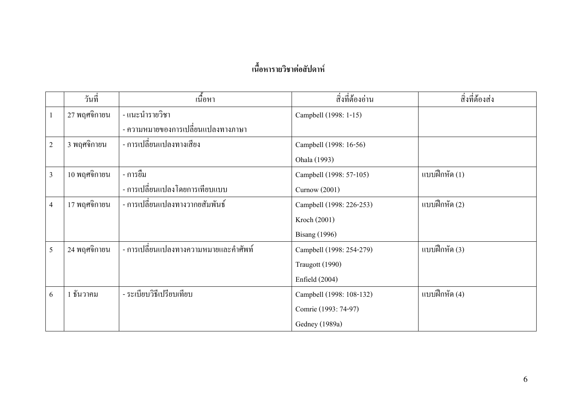# เนื้อหารายวิชาต่อสัปดาห์

|                         | วันที่       | เนื้อหา                               | สิ่งที่ต้องอ่าน          | สิ่งที่ต้องส่ง |
|-------------------------|--------------|---------------------------------------|--------------------------|----------------|
| 1                       | 27 พฤศจิกายน | - แนะนำรายวิชา                        | Campbell (1998: 1-15)    |                |
|                         |              | - ความหมายของการเปลี่ยนแปลงทางภาษา    |                          |                |
| $\overline{c}$          | 3 พฤศจิกายน  | - การเปลี่ยนแปลงทางเสียง              | Campbell (1998: 16-56)   |                |
|                         |              |                                       | Ohala (1993)             |                |
| $\overline{3}$          | 10 พฤศจิกายน | - การยืม                              | Campbell (1998: 57-105)  | แบบฝึกหัด (1)  |
|                         |              | - การเปลี่ยนแปลงโดยการเทียบแบบ        | Curnow (2001)            |                |
| $\overline{\mathbf{4}}$ | 17 พฤศจิกายน | - การเปลี่ยนแปลงทางวากยสัมพันธ์       | Campbell (1998: 226-253) | แบบฝึกหัด (2)  |
|                         |              |                                       | Kroch (2001)             |                |
|                         |              |                                       | <b>Bisang</b> (1996)     |                |
| 5                       | 24 พฤศจิกายน | - การเปลี่ยนแปลงทางความหมายและคำศัพท์ | Campbell (1998: 254-279) | แบบฝึกหัด (3)  |
|                         |              |                                       | Traugott (1990)          |                |
|                         |              |                                       | Enfield $(2004)$         |                |
| 6                       | 1 ธันวาคม    | - ระเบียบวิธีเปรียบเทียบ              | Campbell (1998: 108-132) | แบบฝึกหัด (4)  |
|                         |              |                                       | Comrie (1993: 74-97)     |                |
|                         |              |                                       | Gedney (1989a)           |                |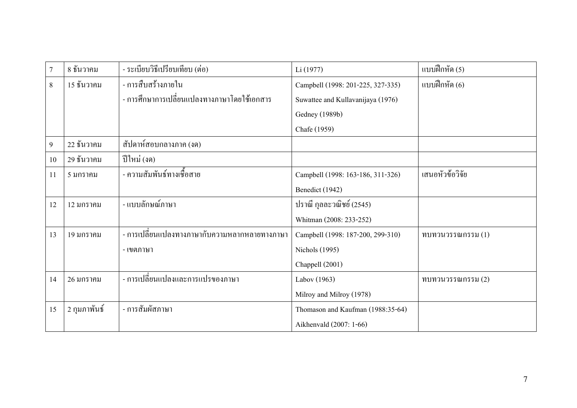| $\overline{7}$ | 8 ธันวาคม      | - ระเบียบวิธีเปรียบเทียบ (ต่อ)                | Li (1977)                         | แบบฝึกหัด (5)          |
|----------------|----------------|-----------------------------------------------|-----------------------------------|------------------------|
| 8              | 15 ธันวาคม     | - การสืบสร้างภายใน                            | Campbell (1998: 201-225, 327-335) | แบบฝึกหัด (6)          |
|                |                | - การศึกษาการเปลี่ยนแปลงทางภาษาโดยใช้เอกสาร   | Suwattee and Kullavanijaya (1976) |                        |
|                |                |                                               | Gedney (1989b)                    |                        |
|                |                |                                               | Chafe (1959)                      |                        |
| 9              | 22 ธันวาคม     | สัปดาห์สอบกลางภาค (งค)                        |                                   |                        |
| 10             | 29 ธันวาคม     | ปีใหม่ (งด)                                   |                                   |                        |
| 11             | 5 มกราคม       | - ความสัมพันธ์ทางเชื้อสาย                     | Campbell (1998: 163-186, 311-326) | เสนอหัวข้อวิจัย        |
|                |                |                                               | Benedict (1942)                   |                        |
| 12             | 12 มกราคม      | - แบบลักษณ์ภาษา                               | ปราณี กุลละวณิชย์ (2545)          |                        |
|                |                |                                               | Whitman (2008: 233-252)           |                        |
| 13             | 19 มกราคม      | - การเปลี่ยนแปลงทางภาษากับความหลากหลายทางภาษา | Campbell (1998: 187-200, 299-310) | $m$ บทวนวรรณกรรม $(1)$ |
|                |                | - เขตภาษา                                     | <b>Nichols</b> (1995)             |                        |
|                |                |                                               | Chappell (2001)                   |                        |
| 14             | 26 มกราคม      | - การเปลี่ยนแปลงและการแปรของภาษา              | Labov (1963)                      | $m$ บทวนวรรณกรรม $(2)$ |
|                |                |                                               | Milroy and Milroy (1978)          |                        |
| 15             | ่ 2 กุมภาพันธ์ | - การสัมผัสภาษา                               | Thomason and Kaufman (1988:35-64) |                        |
|                |                |                                               | Aikhenvald (2007: 1-66)           |                        |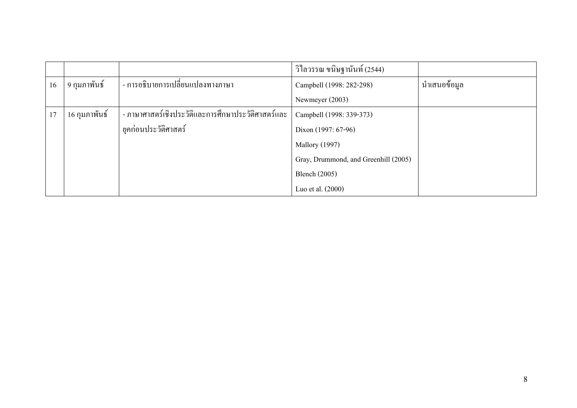|    |               |                                                    | วิไลวรรณ ขนิษฐานันท์ (2544)          |              |
|----|---------------|----------------------------------------------------|--------------------------------------|--------------|
| 16 | 9 กุมภาพันธ์  | - การอธิบายการเปลี่ยนแปลงทางภาษา                   | Campbell (1998: 282-298)             | นำเสนอข้อมูล |
|    |               |                                                    | Newmeyer (2003)                      |              |
| 17 | 16 กุมภาพันธ์ | - ภาษาศาสตร์เชิงประวัติและการศึกษาประวัติศาสตร์และ | Campbell (1998: 339-373)             |              |
|    |               | ยุคก่อนประวัติศาสตร์                               | Dixon (1997: 67-96)                  |              |
|    |               |                                                    | <b>Mallory</b> (1997)                |              |
|    |               |                                                    | Gray, Drummond, and Greenhill (2005) |              |
|    |               |                                                    | <b>Blench</b> (2005)                 |              |
|    |               |                                                    | Luo et al. (2000)                    |              |